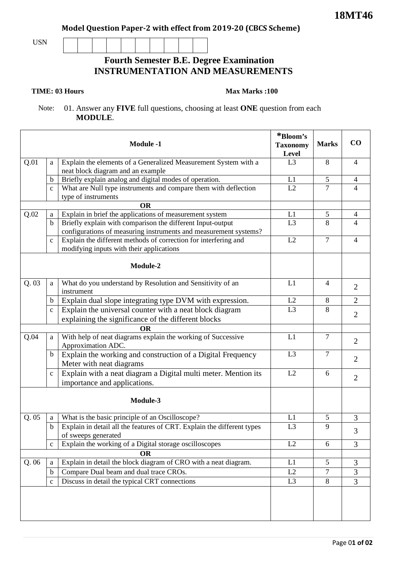**Model Question Paper-2 with effect from 2019-20 (CBCS Scheme)**

USN

## **Fourth Semester B.E. Degree Examination INSTRUMENTATION AND MEASUREMENTS**

## **TIME: 03 Hours**

## **Max Marks :100**

 Note: 01. Answer any **FIVE** full questions, choosing at least **ONE** question from each **MODULE**.

|          |              | <b>Module -1</b>                                                                                            | *Bloom's<br><b>Taxonomy</b><br>Level | <b>Marks</b>   | CO             |
|----------|--------------|-------------------------------------------------------------------------------------------------------------|--------------------------------------|----------------|----------------|
| Q.01     | a            | Explain the elements of a Generalized Measurement System with a                                             | L3                                   | 8              | $\overline{4}$ |
|          |              | neat block diagram and an example                                                                           |                                      |                |                |
|          | b            | Briefly explain analog and digital modes of operation.                                                      | L1                                   | 5              | 4              |
|          | $\mathbf c$  | What are Null type instruments and compare them with deflection                                             | L2                                   | $\overline{7}$ | $\overline{4}$ |
|          |              | type of instruments                                                                                         |                                      |                |                |
|          |              | <b>OR</b>                                                                                                   |                                      |                |                |
| Q.02     | a            | Explain in brief the applications of measurement system                                                     | L1                                   | 5              | $\overline{4}$ |
|          | $\mathbf b$  | Briefly explain with comparison the different Input-output                                                  | L <sub>3</sub>                       | 8              | 4              |
|          |              | configurations of measuring instruments and measurement systems?                                            | L2                                   | $\overline{7}$ | $\overline{4}$ |
|          | $\mathbf{C}$ | Explain the different methods of correction for interfering and<br>modifying inputs with their applications |                                      |                |                |
|          |              |                                                                                                             |                                      |                |                |
|          |              | Module-2                                                                                                    |                                      |                |                |
| Q.03     | a            | What do you understand by Resolution and Sensitivity of an<br>instrument                                    | L1                                   | 4              | 2              |
|          | $\mathbf b$  | Explain dual slope integrating type DVM with expression.                                                    | L2                                   | 8              | $\overline{2}$ |
|          | $\mathbf{C}$ | Explain the universal counter with a neat block diagram                                                     | L <sub>3</sub>                       | 8              |                |
|          |              | explaining the significance of the different blocks                                                         |                                      |                | $\overline{2}$ |
|          |              | OR                                                                                                          |                                      |                |                |
| Q.04     | a            | With help of neat diagrams explain the working of Successive<br>Approximation ADC.                          | L1                                   | $\overline{7}$ | 2              |
|          | $\mathbf b$  | Explain the working and construction of a Digital Frequency<br>Meter with neat diagrams                     | L <sub>3</sub>                       | $\tau$         | $\overline{2}$ |
|          | $\mathbf c$  | Explain with a neat diagram a Digital multi meter. Mention its<br>importance and applications.              | L2                                   | 6              | $\overline{2}$ |
| Module-3 |              |                                                                                                             |                                      |                |                |
| Q.05     | a            | What is the basic principle of an Oscilloscope?                                                             | L1                                   | 5              | 3              |
|          | $\mathbf b$  | Explain in detail all the features of CRT. Explain the different types<br>of sweeps generated               | L <sub>3</sub>                       | 9              | 3              |
|          | $\mathbf{C}$ | Explain the working of a Digital storage oscilloscopes                                                      | L2                                   | 6              | 3              |
|          |              | <b>OR</b>                                                                                                   |                                      |                |                |
| Q.06     | a            | Explain in detail the block diagram of CRO with a neat diagram.                                             | L1                                   | 5 <sup>5</sup> | $\overline{3}$ |
|          | $\mathbf b$  | Compare Dual beam and dual trace CROs.                                                                      | L2                                   | $\tau$         | 3              |
|          | $\mathbf{C}$ | Discuss in detail the typical CRT connections                                                               | L <sub>3</sub>                       | 8              | $\overline{3}$ |
|          |              |                                                                                                             |                                      |                |                |